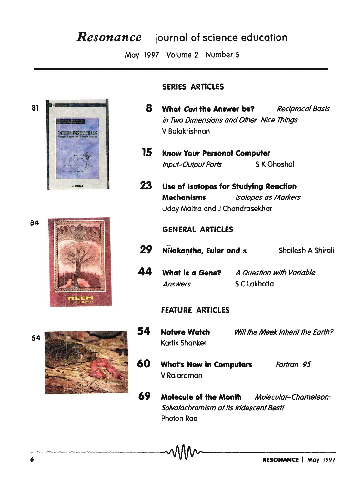# **Resonance** journal of science education

May 1997 Volume 2 Number 5





### **SERIES ARTICLES**

- 8 What Can the Answer be? **Reciprocal Basis** in Two Dimensions and Other Nice Thinas V Balakrishnan
- $15<sup>-15</sup>$ **Know Your Personal Computer** S K Ghoshal **Input-Output Ports**
- 23 Use of Isotopes for Studying Reaction **Mechanisms Isotopes as Markers** Uday Maitra and J Chandrasekhar

### **GENERAL ARTICLES**

- 29 **Nilakantha, Euler and**  $\pi$  Shailesh A Shirali
- 44 What is a Gene? A Question with Variable S C Lakhotia **Answers**

### **FEATURE ARTICLES**

- 54 **Nature Watch** Will the Meek Inherit the Earth? Kartik Shanker
- 60 **What's New in Computers** Fortran 95 V Rajaraman
- 69 Molecule of the Month Molecular-Chameleon: Solvatochromism at its Iridescent Best! Photon Rao



84